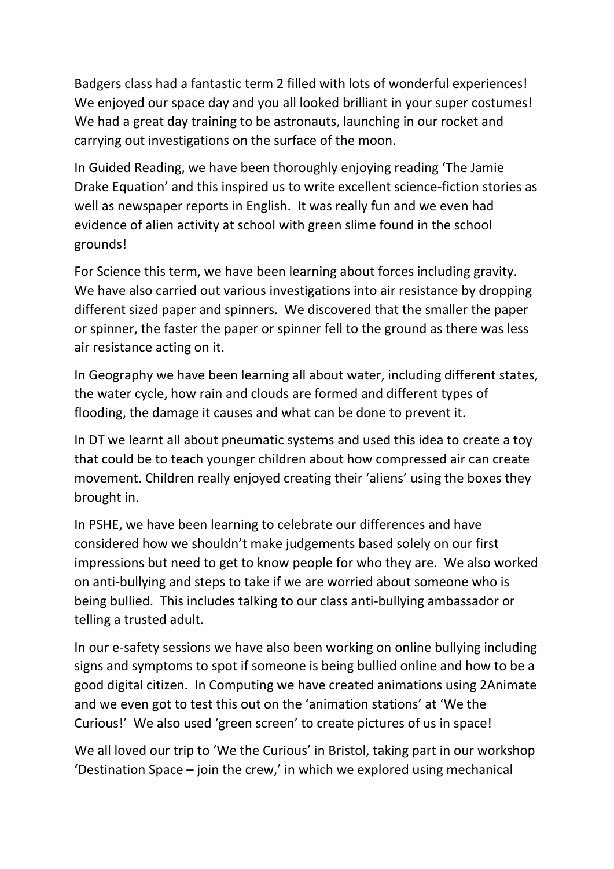Badgers class had a fantastic term 2 filled with lots of wonderful experiences! We enjoyed our space day and you all looked brilliant in your super costumes! We had a great day training to be astronauts, launching in our rocket and carrying out investigations on the surface of the moon.

In Guided Reading, we have been thoroughly enjoying reading 'The Jamie Drake Equation' and this inspired us to write excellent science-fiction stories as well as newspaper reports in English. It was really fun and we even had evidence of alien activity at school with green slime found in the school grounds!

For Science this term, we have been learning about forces including gravity. We have also carried out various investigations into air resistance by dropping different sized paper and spinners. We discovered that the smaller the paper or spinner, the faster the paper or spinner fell to the ground as there was less air resistance acting on it.

In Geography we have been learning all about water, including different states, the water cycle, how rain and clouds are formed and different types of flooding, the damage it causes and what can be done to prevent it.

In DT we learnt all about pneumatic systems and used this idea to create a toy that could be to teach younger children about how compressed air can create movement. Children really enjoyed creating their 'aliens' using the boxes they brought in.

In PSHE, we have been learning to celebrate our differences and have considered how we shouldn't make judgements based solely on our first impressions but need to get to know people for who they are. We also worked on anti-bullying and steps to take if we are worried about someone who is being bullied. This includes talking to our class anti-bullying ambassador or telling a trusted adult.

In our e-safety sessions we have also been working on online bullying including signs and symptoms to spot if someone is being bullied online and how to be a good digital citizen. In Computing we have created animations using 2Animate and we even got to test this out on the 'animation stations' at 'We the Curious!' We also used 'green screen' to create pictures of us in space!

We all loved our trip to 'We the Curious' in Bristol, taking part in our workshop 'Destination Space – join the crew,' in which we explored using mechanical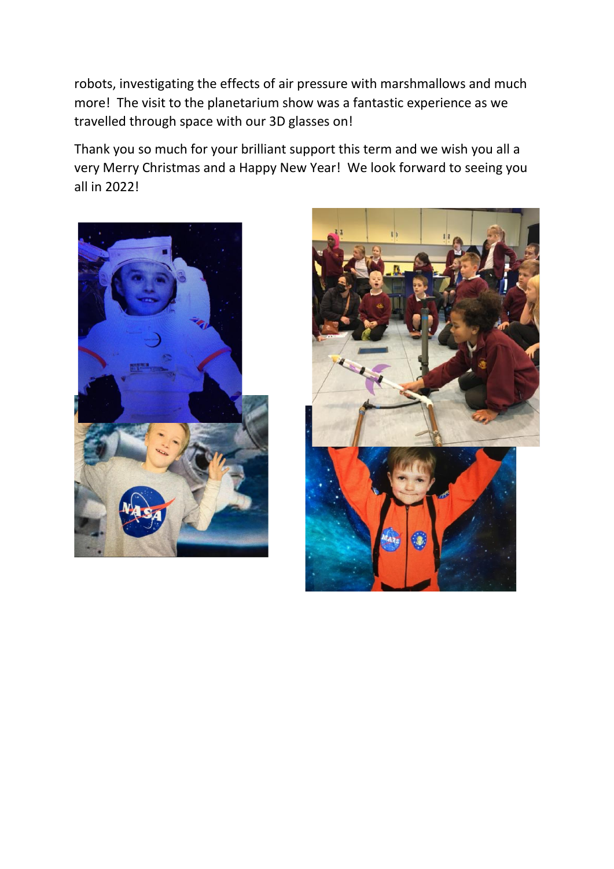robots, investigating the effects of air pressure with marshmallows and much more! The visit to the planetarium show was a fantastic experience as we travelled through space with our 3D glasses on!

Thank you so much for your brilliant support this term and we wish you all a very Merry Christmas and a Happy New Year! We look forward to seeing you all in 2022!